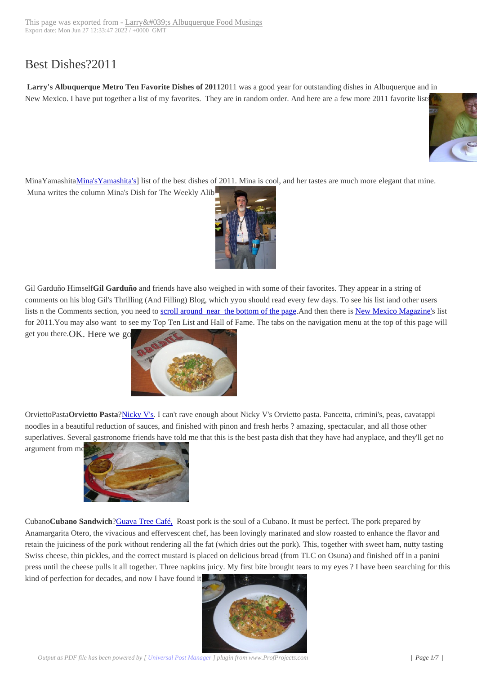## Best Dishes?2011

**Larry's Albuquerque Metro Ten Favorite Dishes of 2011**2011 was a good year for outstanding dishes in Albuquerque and in New Mexico. I have put together a list of my favorites. They are in random order. And here are a few more 2011 favorite lists:



MinaYamashitaMina'sYamashita's] list of the best dishes of 2011. Mina is cool, and her tastes are much more elegant that mi[ne.](http://www.abqtopten.com/blog/wp-content/uploads/2012/01/MinaYamashita.jpg) Muna writes the column Mina's Dish for The Weekly Alibi.



Gil Garduño Himself**Gil Garduño** and friends have also w[eighed in with some](http://www.abqtopten.com/blog/wp-content/uploads/2012/01/gil.jpg) of their favorites. They appear in a string of comments on his blog Gil's Thrilling (And Filling) Blog, which yyou should read every few days. To see his list iand other users lists n the Comments section, you need to scroll around near the bottom of the page.And then there is New Mexico Magazine's list for 2011.You may also want to see my Top Ten List and Hall of Fame. The tabs on the navigation menu at the top of this page will

get you there.OK. Here we go.



OrviettoPasta**Orvietto Pasta**?Ni[cky V's. I can't rave enough about](http://www.abqtopten.com/blog/wp-content/uploads/2012/01/ABQBite_Orvietto.jpg) Nicky V's Orvietto pasta. Pancetta, crimini's, peas, cavatappi noodles in a beautiful reduction of sauces, and finished with pinon and fresh herbs ? amazing, spectacular, and all those other superlatives. Several gastronome friends have told me that this is the best pasta dish that they have had anyplace, and they'll get no

argument from me



Cubano**Cubano Sandwich**?Guava Tree Café, Roast pork is the soul of a Cubano. It must be perfect. The pork prepared by Anamargarita Ote[ro, the vivacious and effervescent](http://www.abqtopten.com/blog/wp-content/uploads/2012/01/cubanoBig.jpg) chef, has been lovingly marinated and slow roasted to enhance the flavor and retain the juiciness of the pork without rendering all the fat (which dries out the pork). This, together with sweet ham, nutty tasting Swiss cheese, thin pickles, and the correct mustard is placed on delicious bread (from TLC on Osuna) and finished off in a panini press until the cheese pulls i[t all together. Thre](http://www.abqtopten.com/blog/guava-tree-cafe/)e napkins juicy. My first bite brought tears to my eyes ? I have been searching for this kind of perfection for decades, and now I have found it.

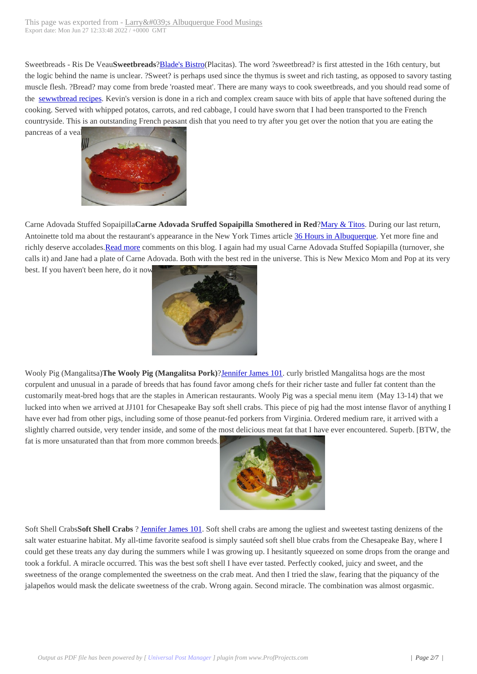Sweetbreads - Ris De Veau**Sweetbreads**[?Blade's Bistro\(Placitas\). The wo](http://www.abqtopten.com/blog/?page_id=2811)rd ?sweetbread? is first attested in the 16th century, but the logic behind the name is unclear. ?Sweet? is perhaps used since the thymus is sweet and rich tasting, as opposed to savory tasting muscle flesh. ?Bread? may come from brede 'roasted meat'. There are many ways to cook sweetbreads, and you should read some of the sewwtbread recipes. Kevin's version is done in a rich and complex cream sauce with bits of apple that have softened during the cooking. Served with whipped potatos, ca[rrots, and red c](http://www.abqtopten.com/blog/blades-bistro/)abbage, I could have sworn that I had been transported to the French countryside. This is an outstanding French peasant dish that you need to try after you get over the notion that you are eating the pancreas of a veal



Carne Adovada Stuffed Sopaipilla**Carne Adovada Sruffed Sopaipilla Smothered in Red**?Mary & Titos. During our last return, Antoinette told m[a about the restaurant's appearanc](http://www.abqtopten.com/blog/wp-content/uploads/2012/01/carneSopa.jpg)e in the New York Times article 36 Hours in Albuquerque. Yet more fine and richly deserve accolades.Read more comments on this blog. I again had my usual Carne Adovada Stuffed Sopiapilla (turnover, she calls it) and Jane had a plate of Carne Adovada. Both with the best red in the universe. This [is New Mexic](http://www.abqtopten.com/blog/mary-titos/)o Mom and Pop at its very best. If you haven't been here, do it now.



Wooly Pig (Mangalitsa)**The Wooly Pig (Mangalitsa Pork)**?Jennifer James 101. curly bristled Mangalitsa hogs are the most corpulent and unusual in a parade of br[eeds that has found favor among c](http://www.abqtopten.com/blog/wp-content/uploads/2012/01/wollyPig1.jpg)hefs for their richer taste and fuller fat content than the customarily meat-bred hogs that are the staples in American restaurants. Wooly Pig was a special menu item (May 13-14) that we lucked into when we arrived at JJ101 for Chesapeake Bay soft shell crabs. This piece of pig had the most intense flavor of anything I have ever had from other pigs, including some of those pean[ut-fed porkers from](http://www.abqtopten.com/blog/jennifer-james-101/) Virginia. Ordered medium rare, it arrived with a slightly charred outside, very tender inside, and some of the most delicious meat fat that I have ever encountered. Superb. [BTW, the

fat is more unsaturated than that from more common breeds.



Soft Shell Crabs**Soft Shell Crabs** ? Jennifer James 101. Soft [shell crabs are among the ugliest](http://www.abqtopten.com/blog/wp-content/uploads/2012/01/crabEntree.jpg) and sweetest tasting denizens of the salt water estuarine habitat. My all-time favorite seafood is simply sautéed soft shell blue crabs from the Chesapeake Bay, where I could get these treats any day during the summers while I was growing up. I hesitantly squeezed on some drops from the orange and took a forkful. A miracle occurred. [This was the best so](http://www.abqtopten.com/blog/jennifer-james-101/)ft shell I have ever tasted. Perfectly cooked, juicy and sweet, and the sweetness of the orange complemented the sweetness on the crab meat. And then I tried the slaw, fearing that the piquancy of the jalapeños would mask the delicate sweetness of the crab. Wrong again. Second miracle. The combination was almost orgasmic.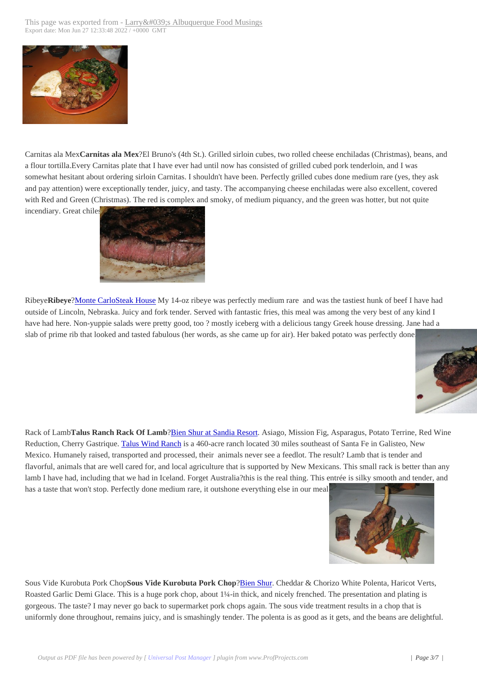

[Carnitas ala Mex](http://www.abqtopten.com/blog/wp-content/uploads/2012/01/IMG_0693.jpg)**Carnitas ala Mex**?El Bruno's (4th St.). Grilled sirloin cubes, two rolled cheese enchiladas (Christmas), beans, and a flour tortilla.Every Carnitas plate that I have ever had until now has consisted of grilled cubed pork tenderloin, and I was somewhat hesitant about ordering sirloin Carnitas. I shouldn't have been. Perfectly grilled cubes done medium rare (yes, they ask and pay attention) were exceptionally tender, juicy, and tasty. The accompanying cheese enchiladas were also excellent, covered with Red and Green (Christmas). The red is complex and smoky, of medium piquancy, and the green was hotter, but not quite incendiary. Great chiles



Ribeye**Ribeye**?Monte [CarloSteak House My 14-oz ribey](http://www.abqtopten.com/blog/wp-content/uploads/2012/01/monteMedRare.jpg)e was perfectly medium rare and was the tastiest hunk of beef I have had outside of Lincoln, Nebraska. Juicy and fork tender. Served with fantastic fries, this meal was among the very best of any kind I have had here. Non-yuppie salads were pretty good, too ? mostly iceberg with a delicious tangy Greek house dressing. Jane had a slab of prime ri[b that looked and tasted fa](http://www.abqtopten.com/blog/monte-carlo-steak-house/)bulous (her words, as she came up for air). Her baked potato was perfectly done.



Rack of Lamb**Talus Ranch Rack Of Lamb**?Bien Shur at Sandia Resort. Asiago, Mission Fig, Asparagus, Potato Terrine[, Red Wine](http://www.abqtopten.com/blog/wp-content/uploads/2012/01/lamb-2.jpg) Reduction, Cherry Gastrique. Talus Wind Ranch is a 460-acre ranch located 30 miles southeast of Santa Fe in Galisteo, New Mexico. Humanely raised, transported and processed, their animals never see a feedlot. The result? Lamb that is tender and flavorful, animals that are well cared for, and local agriculture that is supported by New Mexicans. This small rack is better than any lamb I have had, including that we had in Ice[land. Forget Australia?this i](http://www.abqtopten.com/blog/bien-shur-restaurant/)s the real thing. This entrée is silky smooth and tender, and has a taste that won't stop. Pe[rfectly done medium](http://taluswindranch.com/) rare, it outshone everything else in our meal.



Sous Vide Kurobuta Pork Chop**Sous Vide Kurobuta Pork Chop**?Bien Shur. Cheddar & Cho[rizo White Polenta, Haricot Verts](http://www.abqtopten.com/blog/wp-content/uploads/2012/01/pork-Chop-1.jpg), Roasted Garlic Demi Glace. This is a huge pork chop, about 1¼-in thick, and nicely frenched. The presentation and plating is gorgeous. The taste? I may never go back to supermarket pork chops again. The sous vide treatment results in a chop that is uniformly done throughout, remains juicy, and is smashingly tende[r. The pole](http://www.abqtopten.com/blog/bien-shur-restaurant/)nta is as good as it gets, and the beans are delightful.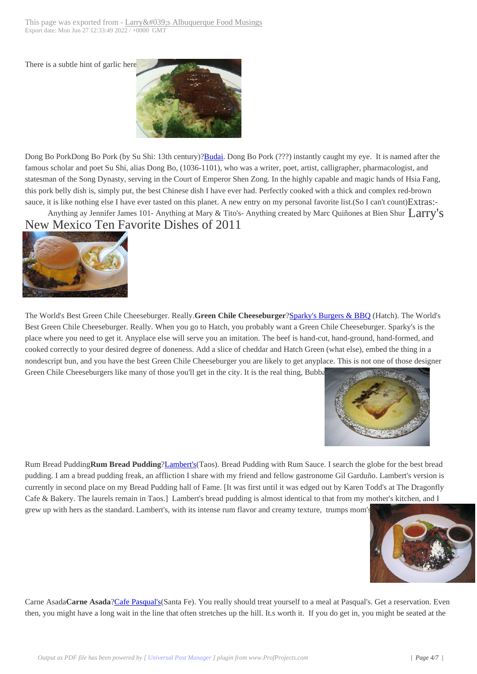There is a subtle hint of garlic [here.](http://www.abqtopten.com/blog/?page_id=2811)



Dong Bo PorkDong Bo Pork (by Su Shi: 13th century)?**Budai**. Dong Bo Pork (???) instantly caught my eye. It is named after the famous scholar and poet Su Shi, alias Dong Bo, (1036-1101), who was a writer, poet, artist, calligrapher, pharmacologist, and statesman of the Song Dynasty, serving in the Court of Emperor Shen Zong. In the highly capable and magic hands of Hsia Fang, this pork belly dish is, simply put, the best Chinese dish I have ever had. Perfectly cooked with a thick and complex red-brown sauce, it is like nothing else I have ever tasted on this pl[anet. A](http://www.abqtopten.com/blog/budai-gourmet-chinese/) new entry on my personal favorite list.(So I can't count) Extras:-

Anything ay Jennifer James 101- Anything at Mary & Tito's-Anything created by Marc Quiñones at Bien Shur  $Larry's$ New Mexico Ten Favorite Dishes of 2011



[The World's Best Green Chile C](http://www.abqtopten.com/blog/wp-content/uploads/2012/01/sparkyGCCB.gif)heeseburger. Really.**Green Chile Cheeseburger**?Sparky's Burgers & BBQ (Hatch). The World's Best Green Chile Cheeseburger. Really. When you go to Hatch, you probably want a Green Chile Cheeseburger. Sparky's is the place where you need to get it. Anyplace else will serve you an imitation. The beef is hand-cut, hand-ground, hand-formed, and cooked correctly to your desired degree of doneness. Add a slice of cheddar and Hatch Green (what else), embed the thing in a nondescript bun, and you have the best Green Chile Cheeseburger you are likely t[o get anyplace. This is not](http://www.abqtopten.com/blog/sparkys-burgers-and-bbq/) one of those designer Green Chile Cheeseburgers like many of those you'll get in the city. It is the real thing, Bubba.



Rum Bread Pudding**Rum Bread Pudding**?Lambert's(Taos). Bread Pudding with Rum Sauce[. I search the globe for the best br](http://www.abqtopten.com/blog/wp-content/uploads/2012/01/lamb_rumBreadPudd.jpg)ead pudding. I am a bread pudding freak, an affliction I share with my friend and fellow gastronome Gil Garduño. Lambert's version is currently in second place on my Bread Pudding hall of Fame. [It was first until it was edged out by Karen Todd's at The Dragonfly Cafe & Bakery. The laurels remain in Taos.] Lambert's bread pudding is almost identical to that from my mother's kitchen, and I grew up with hers as the standard. Lambert'[s, with its](http://www.abqtopten.com/blog/lamberts/) intense rum flavor and creamy texture, trumps mom's.



Carne Asada**Carne Asada**?Cafe Pasqual's(Santa Fe). You really should treat yourself to a meal at Pasqual'[s. Get a reservation. Even](http://www.abqtopten.com/blog/wp-content/uploads/2012/01/carneAsada.jpg) then, you might have a long wait in the line that often stretches up the hill. It.s worth it. If you do get in, you might be seated at the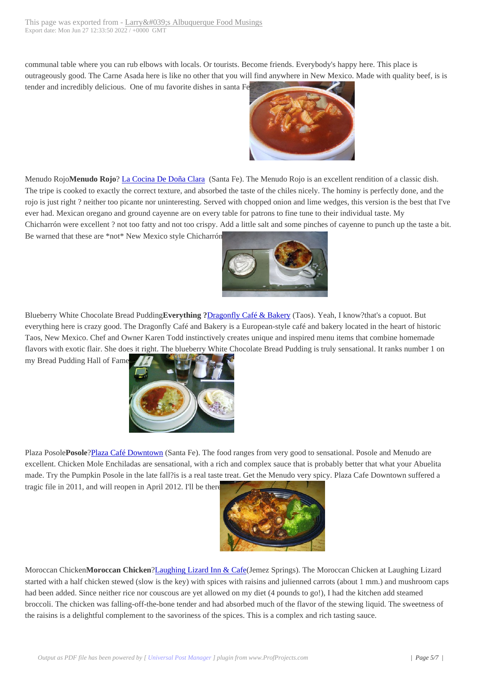communal table where you ca[n rub elbows with locals. Or tourists. Becom](http://www.abqtopten.com/blog/?page_id=2811)e friends. Everybody's happy here. This place is outrageously good. The Carne Asada here is like no other that you will find anywhere in New Mexico. Made with quality beef, is is tender and incredibly delicious. One of mu favorite dishes in santa Fe.



Menudo Rojo**Menudo Rojo**? La Cocina De Doña Clara (Santa Fe). [The Menudo Rojo is an excellent r](http://www.abqtopten.com/blog/wp-content/uploads/2012/01/menudoRojo.jpg)endition of a classic dish. The tripe is cooked to exactly the correct texture, and absorbed the taste of the chiles nicely. The hominy is perfectly done, and the rojo is just right ? neither too picante nor uninteresting. Served with chopped onion and lime wedges, this version is the best that I've ever had. Mexican oregano an[d ground cayenne are on e](http://www.abqtopten.com/blog/la-cocina-de-dona-clara/)very table for patrons to fine tune to their individual taste. My Chicharrón were excellent ? not too fatty and not too crispy. Add a little salt and some pinches of cayenne to punch up the taste a bit. Be warned that these are \*not\* New Mexico style Chicharrón.



Blueberry White Chocolate Bread Pudding**Everything ?**Dra[gonfly Café & Bakery \(Taos\). Yea](http://www.abqtopten.com/blog/wp-content/uploads/2012/01/bread_Pudding.jpg)h, I know?that's a copuot. But everything here is crazy good. The Dragonfly Café and Bakery is a European-style café and bakery located in the heart of historic Taos, New Mexico. Chef and Owner Karen Todd instinctively creates unique and inspired menu items that combine homemade flavors with exotic flair. She does it right. The blueberry [White Chocolate Bread Pu](http://www.abqtopten.com/blog/dragonfly-cafe-bakery/)dding is truly sensational. It ranks number 1 on

my Bread Pudding Hall of Fame.



Plaza Posole**Posole**?Plaza Café [Downtown \(Santa Fe\). The food r](http://www.abqtopten.com/blog/wp-content/uploads/2012/01/plazaPosole.jpg)anges from very good to sensational. Posole and Menudo are excellent. Chicken Mole Enchiladas are sensational, with a rich and complex sauce that is probably better that what your Abuelita made. Try the Pumpkin Posole in the late fall?is is a real taste treat. Get the Menudo very spicy. Plaza Cafe Downtown suffered a tragic file in 2011, a[nd will reopen in April](http://www.abqtopten.com/blog/plaza-cafe-downtown/) 2012. I'll be there



Moroccan Chicken**Moroccan Chicken**?Laughing Lizard Inn & Cafe(Jemez Springs). The Moroccan Chicken at Laughing Lizard started with a half chicken stewed (slow is the key) with spic[es with raisins and julienned carr](http://www.abqtopten.com/blog/wp-content/uploads/2012/01/MoroccanChicken1.jpg)ots (about 1 mm.) and mushroom caps had been added. Since neither rice nor couscous are yet allowed on my diet (4 pounds to go!), I had the kitchen add steamed broccoli. The chicken was falling-off-the-bone tender and had absorbed much of the flavor of the stewing liquid. The sweetness of the raisins is a delightful complement to [the savoriness of the spices.](http://www.abqtopten.com/blog/laughing-lizard-inn-cafe/) This is a complex and rich tasting sauce.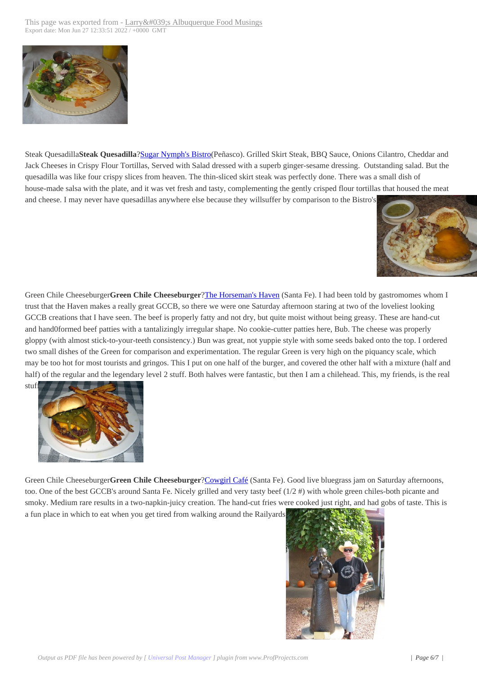

[Steak Quesadilla](http://www.abqtopten.com/blog/wp-content/uploads/2012/01/steakQuesadilla.png)**Steak Quesadilla**?Sugar Nymph's Bistro(Peñasco). Grilled Skirt Steak, BBQ Sauce, Onions Cilantro, Cheddar and Jack Cheeses in Crispy Flour Tortillas, Served with Salad dressed with a superb ginger-sesame dressing. Outstanding salad. But the quesadilla was like four crispy slices from heaven. The thin-sliced skirt steak was perfectly done. There was a small dish of house-made salsa with the plate, an[d it was vet fresh and ta](http://www.abqtopten.com/blog/sugar-nymphs-bistro/)sty, complementing the gently crisped flour tortillas that housed the meat and cheese. I may never have quesadillas anywhere else because they willsuffer by comparison to the Bistro's.



Green Chile Cheeseburger**Green Chile Cheeseburger**?The Horseman's Haven (Santa Fe). I had been told by [gastromomes whom I](http://www.abqtopten.com/blog/wp-content/uploads/2012/01/GCCB_Whole.jpg) trust that the Haven makes a really great GCCB, so there we were one Saturday afternoon staring at two of the loveliest looking GCCB creations that I have seen. The beef is properly fatty and not dry, but quite moist without being greasy. These are hand-cut and hand0formed beef patties with a tantalizingly irregular shape. No cookie-cutter patties here, Bub. The cheese was properly gloppy (with almost stick-to-your-teeth consistency.) B[un was great, not yuppie](http://www.abqtopten.com/blog/horsemans-haven-cafe/) style with some seeds baked onto the top. I ordered two small dishes of the Green for comparison and experimentation. The regular Green is very high on the piquancy scale, which may be too hot for most tourists and gringos. This I put on one half of the burger, and covered the other half with a mixture (half and half) of the regular and the legendary level 2 stuff. Both halves were fantastic, but then I am a chilehead. This, my friends, is the real



Green Chile Cheeseburger**Green Chile Cheeseburger**?Cowgirl Café (Santa Fe). Good live bluegrass jam on Saturday afternoons, too. [One of the best GCCB's around S](http://www.abqtopten.com/blog/wp-content/uploads/2012/01/gccb1.jpg)anta Fe. Nicely grilled and very tasty beef (1/2 #) with whole green chiles-both picante and smoky. Medium rare results in a two-napkin-juicy creation. The hand-cut fries were cooked just right, and had gobs of taste. This is a fun place in which to eat when you get tired from wal[king around th](http://www.urbanspoon.com/r/279/1226192/restaurant/Cowgirl-BBQ-Santa-Fe)e Railyards.